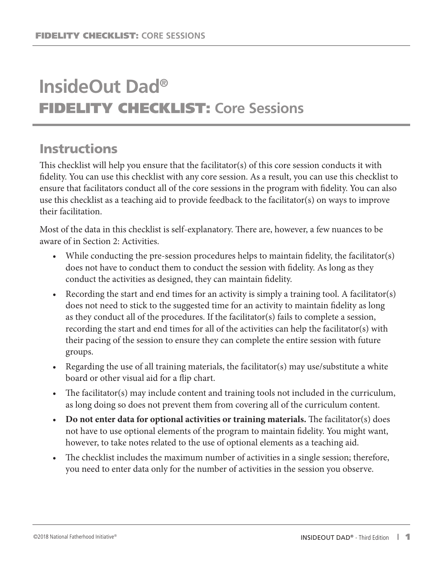# **InsideOut Dad®** FIDELITY CHECKLIST: **Core Sessions**

## **Instructions**

This checklist will help you ensure that the facilitator(s) of this core session conducts it with fidelity. You can use this checklist with any core session. As a result, you can use this checklist to ensure that facilitators conduct all of the core sessions in the program with fidelity. You can also use this checklist as a teaching aid to provide feedback to the facilitator(s) on ways to improve their facilitation.

Most of the data in this checklist is self-explanatory. There are, however, a few nuances to be aware of in Section 2: Activities.

- While conducting the pre-session procedures helps to maintain fidelity, the facilitator(s) does not have to conduct them to conduct the session with fidelity. As long as they conduct the activities as designed, they can maintain fidelity.
- Recording the start and end times for an activity is simply a training tool. A facilitator(s) does not need to stick to the suggested time for an activity to maintain fidelity as long as they conduct all of the procedures. If the facilitator(s) fails to complete a session, recording the start and end times for all of the activities can help the facilitator(s) with their pacing of the session to ensure they can complete the entire session with future groups.
- Regarding the use of all training materials, the facilitator(s) may use/substitute a white board or other visual aid for a flip chart.
- The facilitator(s) may include content and training tools not included in the curriculum, as long doing so does not prevent them from covering all of the curriculum content.
- **Do not enter data for optional activities or training materials.** The facilitator(s) does not have to use optional elements of the program to maintain fidelity. You might want, however, to take notes related to the use of optional elements as a teaching aid.
- The checklist includes the maximum number of activities in a single session; therefore, you need to enter data only for the number of activities in the session you observe.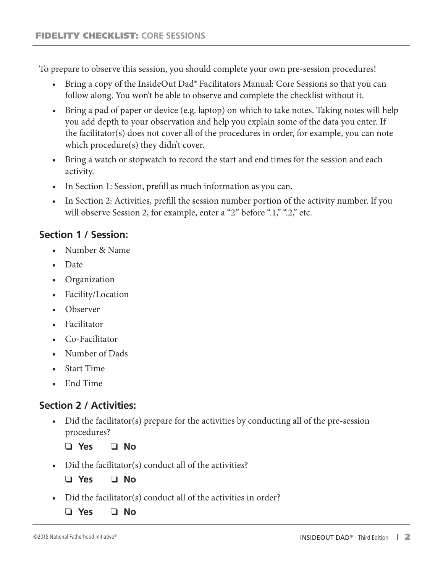To prepare to observe this session, you should complete your own pre-session procedures!

- Bring a copy of the InsideOut Dad® Facilitators Manual: Core Sessions so that you can follow along. You won't be able to observe and complete the checklist without it.
- Bring a pad of paper or device (e.g. laptop) on which to take notes. Taking notes will help you add depth to your observation and help you explain some of the data you enter. If the facilitator(s) does not cover all of the procedures in order, for example, you can note which procedure(s) they didn't cover.
- Bring a watch or stopwatch to record the start and end times for the session and each activity.
- In Section 1: Session, prefill as much information as you can.
- In Section 2: Activities, prefill the session number portion of the activity number. If you will observe Session 2, for example, enter a "2" before ".1," ".2," etc.

## **Section 1 / Session:**

- Number & Name
- Date
- Organization
- Facility/Location
- Observer
- Facilitator
- Co-Facilitator
- Number of Dads
- Start Time
- End Time

## **Section 2 / Activities:**

• Did the facilitator(s) prepare for the activities by conducting all of the pre-session procedures?

❏ **Yes** ❏ **No**

• Did the facilitator(s) conduct all of the activities?

- Did the facilitator(s) conduct all of the activities in order?
	- ❏ **Yes** ❏ **No**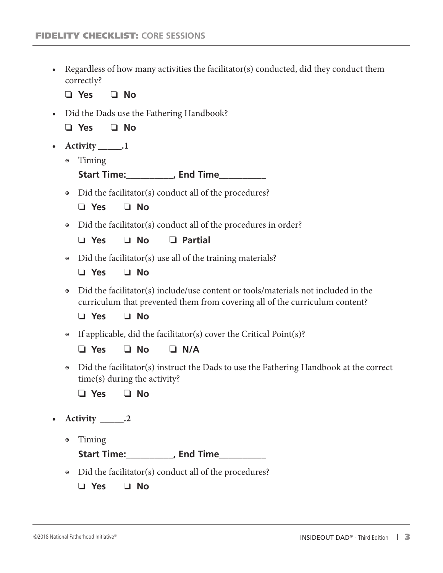• Regardless of how many activities the facilitator(s) conducted, did they conduct them correctly?

❏ **Yes** ❏ **No**

• Did the Dads use the Fathering Handbook?

❏ **Yes** ❏ **No**

- **• Activity \_\_\_\_\_.1**
	- ◉ Timing

**Start Time:\_\_\_\_\_\_\_\_\_\_, End Time\_\_\_\_\_\_\_\_\_\_**

◉ Did the facilitator(s) conduct all of the procedures?

| Yes |  | <b>No</b> |
|-----|--|-----------|
|-----|--|-----------|

◉ Did the facilitator(s) conduct all of the procedures in order?

❏ **Yes** ❏ **No** ❏ **Partial**

- ◉ Did the facilitator(s) use all of the training materials?
	- ❏ **Yes** ❏ **No**
- ◉ Did the facilitator(s) include/use content or tools/materials not included in the curriculum that prevented them from covering all of the curriculum content?

❏ **Yes** ❏ **No**

◉ If applicable, did the facilitator(s) cover the Critical Point(s)?

❏ **Yes** ❏ **No** ❏ **N/A**

◉ Did the facilitator(s) instruct the Dads to use the Fathering Handbook at the correct time(s) during the activity?

❏ **Yes** ❏ **No**

- **• Activity \_\_\_\_\_.2**
	- ◉ Timing

**Start Time:\_\_\_\_\_\_\_\_\_\_, End Time\_\_\_\_\_\_\_\_\_\_**

◉ Did the facilitator(s) conduct all of the procedures?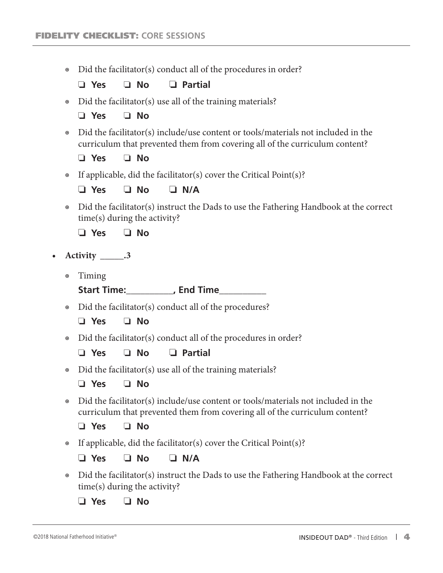◉ Did the facilitator(s) conduct all of the procedures in order?

❏ **Yes** ❏ **No** ❏ **Partial**

• Did the facilitator(s) use all of the training materials?

❏ **Yes** ❏ **No**

◉ Did the facilitator(s) include/use content or tools/materials not included in the curriculum that prevented them from covering all of the curriculum content?

❏ **Yes** ❏ **No**

◉ If applicable, did the facilitator(s) cover the Critical Point(s)?

❏ **Yes** ❏ **No** ❏ **N/A**

◉ Did the facilitator(s) instruct the Dads to use the Fathering Handbook at the correct time(s) during the activity?

❏ **Yes** ❏ **No**

- **• Activity \_\_\_\_\_.3**
	- ◉ Timing

**Start Time:\_\_\_\_\_\_\_\_\_\_, End Time\_\_\_\_\_\_\_\_\_\_**

◉ Did the facilitator(s) conduct all of the procedures?

❏ **Yes** ❏ **No**

◉ Did the facilitator(s) conduct all of the procedures in order?

❏ **Yes** ❏ **No** ❏ **Partial**

• Did the facilitator(s) use all of the training materials?

❏ **Yes** ❏ **No**

◉ Did the facilitator(s) include/use content or tools/materials not included in the curriculum that prevented them from covering all of the curriculum content?

❏ **Yes** ❏ **No**

◉ If applicable, did the facilitator(s) cover the Critical Point(s)?

❏ **Yes** ❏ **No** ❏ **N/A**

◉ Did the facilitator(s) instruct the Dads to use the Fathering Handbook at the correct time(s) during the activity?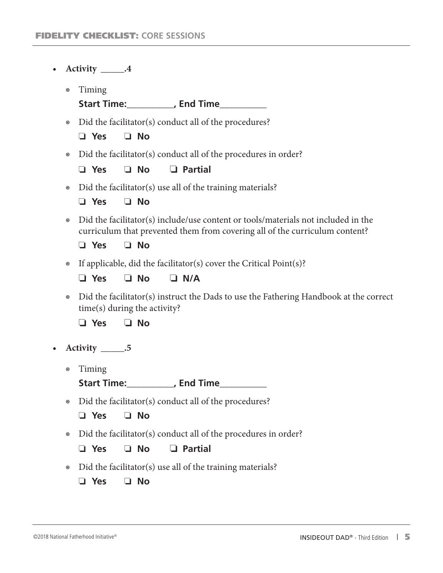| $\bullet$ |                      | Activity ______.4                                                                                                                                                                           |
|-----------|----------------------|---------------------------------------------------------------------------------------------------------------------------------------------------------------------------------------------|
|           | $\boldsymbol{\circ}$ | Timing<br>Start Time:____________, End Time___________                                                                                                                                      |
|           | $\boldsymbol{\odot}$ | Did the facilitator(s) conduct all of the procedures?<br>$\Box$ No<br>$\Box$ Yes                                                                                                            |
|           | $\boldsymbol{\circ}$ | Did the facilitator(s) conduct all of the procedures in order?<br>$\Box$ No<br>$\Box$ Partial<br>$\Box$ Yes                                                                                 |
|           | $\boldsymbol{\circ}$ | Did the facilitator(s) use all of the training materials?<br>$\Box$ Yes<br>$\Box$ No                                                                                                        |
|           | $\boldsymbol{\odot}$ | Did the facilitator(s) include/use content or tools/materials not included in the<br>curriculum that prevented them from covering all of the curriculum content?<br>$\Box$ No<br>$\Box$ Yes |
|           | $\boldsymbol{\circ}$ | If applicable, did the facilitator(s) cover the Critical Point(s)?<br>$\Box$ No<br>$\Box$ Yes<br>$\Box$ N/A                                                                                 |
|           | $\boldsymbol{\odot}$ | Did the facilitator(s) instruct the Dads to use the Fathering Handbook at the correct<br>time(s) during the activity?<br>$\Box$ No<br>$\Box$ Yes                                            |
| $\bullet$ |                      | Activity $\_\_\_\$ .5                                                                                                                                                                       |
|           | $\boldsymbol{\odot}$ | Timing<br>Start Time:____________, End Time____________                                                                                                                                     |
|           | $\circledcirc$       | Did the facilitator(s) conduct all of the procedures?<br>$\Box$ No<br>$\Box$ Yes                                                                                                            |
|           | $\boldsymbol{\odot}$ | Did the facilitator(s) conduct all of the procedures in order?<br>$\Box$ No<br>$\Box$ Partial<br>$\Box$ Yes                                                                                 |
|           | $\odot$              | Did the facilitator(s) use all of the training materials?<br>$\Box$ No<br>Yes<br>ப                                                                                                          |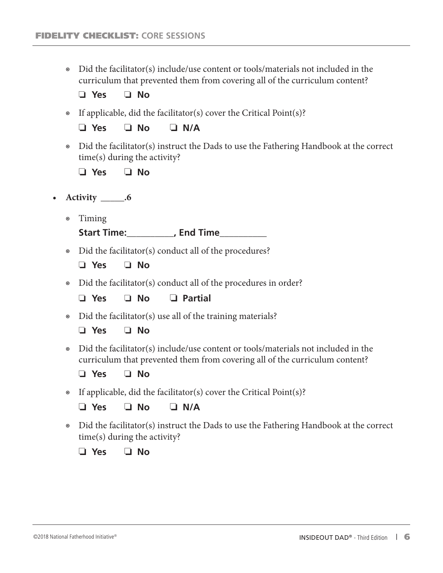◉ Did the facilitator(s) include/use content or tools/materials not included in the curriculum that prevented them from covering all of the curriculum content?

❏ **Yes** ❏ **No**

◉ If applicable, did the facilitator(s) cover the Critical Point(s)?

❏ **Yes** ❏ **No** ❏ **N/A**

◉ Did the facilitator(s) instruct the Dads to use the Fathering Handbook at the correct time(s) during the activity?

❏ **Yes** ❏ **No**

- **• Activity \_\_\_\_\_.6**
	- ◉ Timing

**Start Time:\_\_\_\_\_\_\_\_\_\_, End Time\_\_\_\_\_\_\_\_\_\_**

- ◉ Did the facilitator(s) conduct all of the procedures?
	- ❏ **Yes** ❏ **No**
- ◉ Did the facilitator(s) conduct all of the procedures in order?

❏ **Yes** ❏ **No** ❏ **Partial**

• Did the facilitator(s) use all of the training materials?

❏ **Yes** ❏ **No**

◉ Did the facilitator(s) include/use content or tools/materials not included in the curriculum that prevented them from covering all of the curriculum content?

❏ **Yes** ❏ **No**

◉ If applicable, did the facilitator(s) cover the Critical Point(s)?

#### ❏ **Yes** ❏ **No** ❏ **N/A**

◉ Did the facilitator(s) instruct the Dads to use the Fathering Handbook at the correct time(s) during the activity?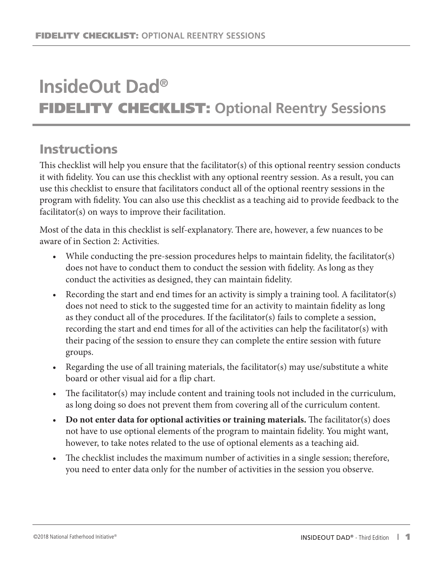# **InsideOut Dad®** FIDELITY CHECKLIST: **Optional Reentry Sessions**

## **Instructions**

This checklist will help you ensure that the facilitator(s) of this optional reentry session conducts it with fidelity. You can use this checklist with any optional reentry session. As a result, you can use this checklist to ensure that facilitators conduct all of the optional reentry sessions in the program with fidelity. You can also use this checklist as a teaching aid to provide feedback to the facilitator(s) on ways to improve their facilitation.

Most of the data in this checklist is self-explanatory. There are, however, a few nuances to be aware of in Section 2: Activities.

- While conducting the pre-session procedures helps to maintain fidelity, the facilitator(s) does not have to conduct them to conduct the session with fidelity. As long as they conduct the activities as designed, they can maintain fidelity.
- Recording the start and end times for an activity is simply a training tool. A facilitator(s) does not need to stick to the suggested time for an activity to maintain fidelity as long as they conduct all of the procedures. If the facilitator(s) fails to complete a session, recording the start and end times for all of the activities can help the facilitator(s) with their pacing of the session to ensure they can complete the entire session with future groups.
- Regarding the use of all training materials, the facilitator(s) may use/substitute a white board or other visual aid for a flip chart.
- The facilitator(s) may include content and training tools not included in the curriculum, as long doing so does not prevent them from covering all of the curriculum content.
- **Do not enter data for optional activities or training materials.** The facilitator(s) does not have to use optional elements of the program to maintain fidelity. You might want, however, to take notes related to the use of optional elements as a teaching aid.
- The checklist includes the maximum number of activities in a single session; therefore, you need to enter data only for the number of activities in the session you observe.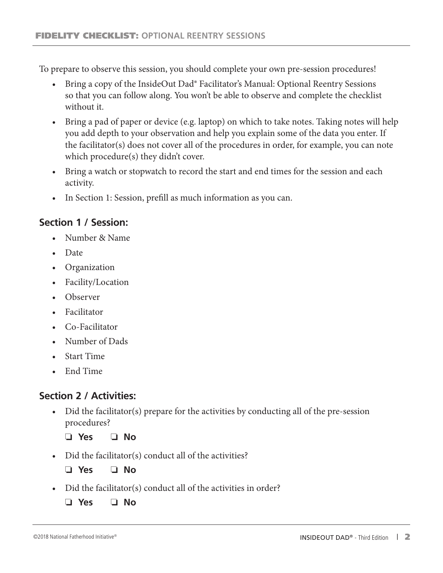To prepare to observe this session, you should complete your own pre-session procedures!

- Bring a copy of the InsideOut Dad® Facilitator's Manual: Optional Reentry Sessions so that you can follow along. You won't be able to observe and complete the checklist without it.
- Bring a pad of paper or device (e.g. laptop) on which to take notes. Taking notes will help you add depth to your observation and help you explain some of the data you enter. If the facilitator(s) does not cover all of the procedures in order, for example, you can note which procedure(s) they didn't cover.
- Bring a watch or stopwatch to record the start and end times for the session and each activity.
- In Section 1: Session, prefill as much information as you can.

## **Section 1 / Session:**

- Number & Name
- Date
- Organization
- Facility/Location
- Observer
- Facilitator
- Co-Facilitator
- Number of Dads
- Start Time
- End Time

### **Section 2 / Activities:**

- Did the facilitator(s) prepare for the activities by conducting all of the pre-session procedures?
	- ❏ **Yes** ❏ **No**
- Did the facilitator(s) conduct all of the activities?

❏ **Yes** ❏ **No**

• Did the facilitator(s) conduct all of the activities in order?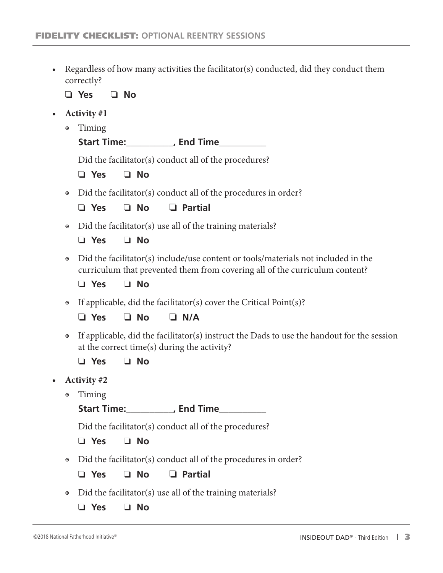• Regardless of how many activities the facilitator(s) conducted, did they conduct them correctly?

❏ **Yes** ❏ **No**

- **• Activity #1**
	- ◉ Timing

**Start Time:\_\_\_\_\_\_\_\_\_\_, End Time\_\_\_\_\_\_\_\_\_\_**

Did the facilitator(s) conduct all of the procedures?

❏ **Yes** ❏ **No**

• Did the facilitator(s) conduct all of the procedures in order?

❏ **Yes** ❏ **No** ❏ **Partial**

• Did the facilitator(s) use all of the training materials?

❏ **Yes** ❏ **No**

- ◉ Did the facilitator(s) include/use content or tools/materials not included in the curriculum that prevented them from covering all of the curriculum content?
	- ❏ **Yes** ❏ **No**
- ◉ If applicable, did the facilitator(s) cover the Critical Point(s)?

❏ **Yes** ❏ **No** ❏ **N/A**

- ◉ If applicable, did the facilitator(s) instruct the Dads to use the handout for the session at the correct time(s) during the activity?
	- ❏ **Yes** ❏ **No**
- **• Activity #2**
	- ◉ Timing

**Start Time:\_\_\_\_\_\_\_\_\_\_, End Time\_\_\_\_\_\_\_\_\_\_**

Did the facilitator(s) conduct all of the procedures?

- ❏ **Yes** ❏ **No**
- ◉ Did the facilitator(s) conduct all of the procedures in order?

❏ **Yes** ❏ **No** ❏ **Partial**

- Did the facilitator(s) use all of the training materials?
	- ❏ **Yes** ❏ **No**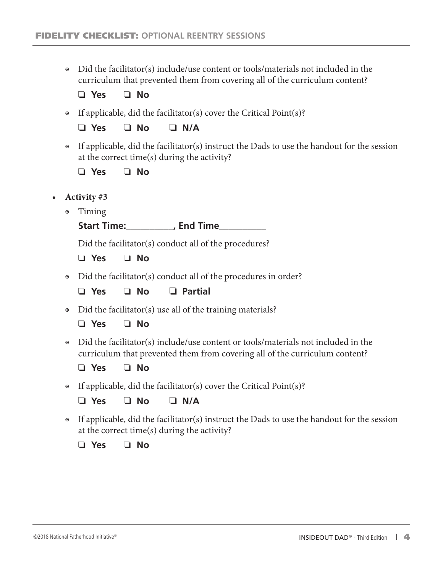◉ Did the facilitator(s) include/use content or tools/materials not included in the curriculum that prevented them from covering all of the curriculum content?

❏ **Yes** ❏ **No**

◉ If applicable, did the facilitator(s) cover the Critical Point(s)?

❏ **Yes** ❏ **No** ❏ **N/A**

◉ If applicable, did the facilitator(s) instruct the Dads to use the handout for the session at the correct time(s) during the activity?

❏ **Yes** ❏ **No**

- **• Activity #3**
	- ◉ Timing

**Start Time:\_\_\_\_\_\_\_\_\_\_, End Time\_\_\_\_\_\_\_\_\_\_**

Did the facilitator(s) conduct all of the procedures?

❏ **Yes** ❏ **No**

- ◉ Did the facilitator(s) conduct all of the procedures in order?
	- ❏ **Yes** ❏ **No** ❏ **Partial**
- ◉ Did the facilitator(s) use all of the training materials?

❏ **Yes** ❏ **No**

- ◉ Did the facilitator(s) include/use content or tools/materials not included in the curriculum that prevented them from covering all of the curriculum content?
	- ❏ **Yes** ❏ **No**
- ◉ If applicable, did the facilitator(s) cover the Critical Point(s)?

❏ **Yes** ❏ **No** ❏ **N/A**

◉ If applicable, did the facilitator(s) instruct the Dads to use the handout for the session at the correct time(s) during the activity?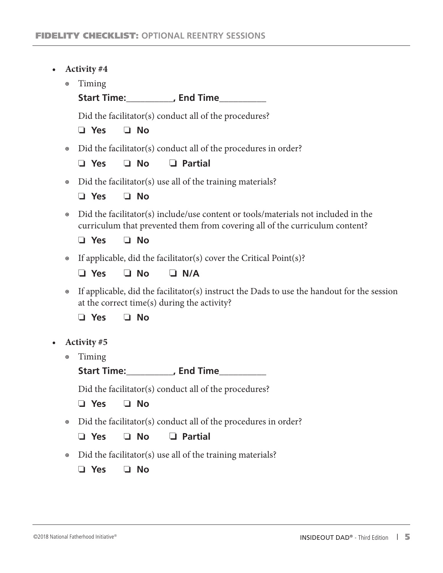- **• Activity #4**
	- ◉ Timing
		- **Start Time:\_\_\_\_\_\_\_\_\_\_, End Time\_\_\_\_\_\_\_\_\_\_**

Did the facilitator(s) conduct all of the procedures?

❏ **Yes** ❏ **No**

◉ Did the facilitator(s) conduct all of the procedures in order?

❏ **Yes** ❏ **No** ❏ **Partial**

- Did the facilitator(s) use all of the training materials?
	- ❏ **Yes** ❏ **No**
- ◉ Did the facilitator(s) include/use content or tools/materials not included in the curriculum that prevented them from covering all of the curriculum content?

❏ **Yes** ❏ **No**

- ◉ If applicable, did the facilitator(s) cover the Critical Point(s)?
	- ❏ **Yes** ❏ **No** ❏ **N/A**
- ◉ If applicable, did the facilitator(s) instruct the Dads to use the handout for the session at the correct time(s) during the activity?

❏ **Yes** ❏ **No**

- **• Activity #5**
	- ◉ Timing

**Start Time:\_\_\_\_\_\_\_\_\_\_, End Time\_\_\_\_\_\_\_\_\_\_**

Did the facilitator(s) conduct all of the procedures?

❏ **Yes** ❏ **No**

◉ Did the facilitator(s) conduct all of the procedures in order?

❏ **Yes** ❏ **No** ❏ **Partial**

• Did the facilitator(s) use all of the training materials?